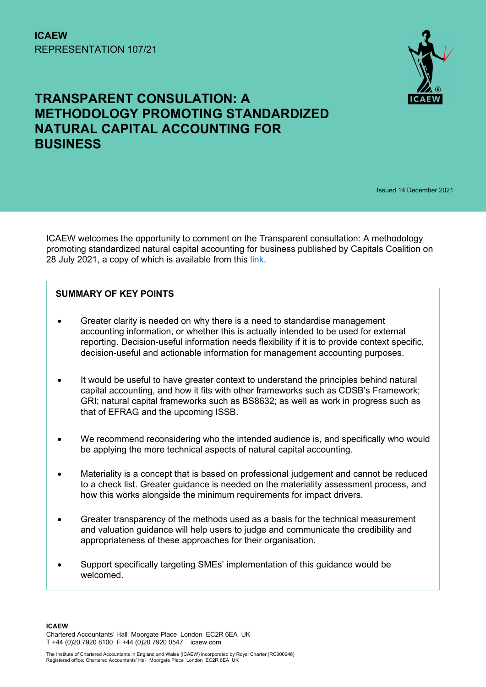

# TRANSPARENT CONSULATION: A METHODOLOGY PROMOTING STANDARDIZED NATURAL CAPITAL ACCOUNTING FOR BUSINESS

Issued 14 December 2021

ICAEW welcomes the opportunity to comment on the Transparent consultation: A methodology promoting standardized natural capital accounting for business published by Capitals Coalition on 28 July 2021, a copy of which is available from this link.

# SUMMARY OF KEY POINTS

- Greater clarity is needed on why there is a need to standardise management accounting information, or whether this is actually intended to be used for external reporting. Decision-useful information needs flexibility if it is to provide context specific, decision-useful and actionable information for management accounting purposes.
- It would be useful to have greater context to understand the principles behind natural capital accounting, and how it fits with other frameworks such as CDSB's Framework; GRI; natural capital frameworks such as BS8632; as well as work in progress such as that of EFRAG and the upcoming ISSB.
- We recommend reconsidering who the intended audience is, and specifically who would be applying the more technical aspects of natural capital accounting.
- Materiality is a concept that is based on professional judgement and cannot be reduced to a check list. Greater guidance is needed on the materiality assessment process, and how this works alongside the minimum requirements for impact drivers.
- Greater transparency of the methods used as a basis for the technical measurement and valuation guidance will help users to judge and communicate the credibility and appropriateness of these approaches for their organisation.
- Support specifically targeting SMEs' implementation of this guidance would be welcomed.

ICAEW Chartered Accountants' Hall Moorgate Place London EC2R 6EA UK T +44 (0)20 7920 8100 F +44 (0)20 7920 0547 icaew.com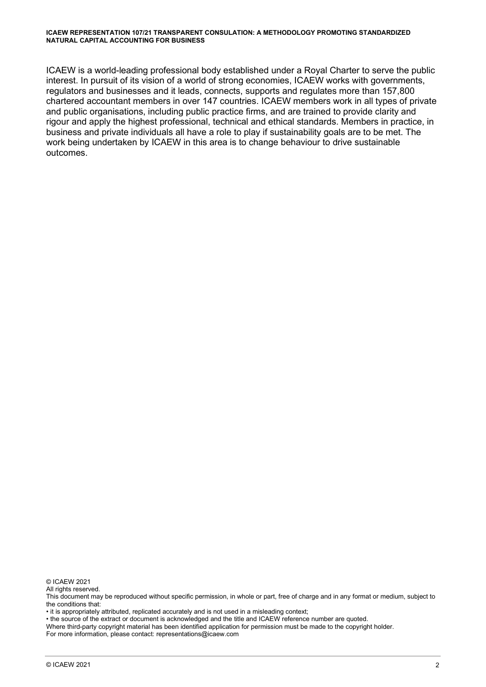#### ICAEW REPRESENTATION 107/21 TRANSPARENT CONSULATION: A METHODOLOGY PROMOTING STANDARDIZED NATURAL CAPITAL ACCOUNTING FOR BUSINESS

ICAEW is a world-leading professional body established under a Royal Charter to serve the public interest. In pursuit of its vision of a world of strong economies, ICAEW works with governments, regulators and businesses and it leads, connects, supports and regulates more than 157,800 chartered accountant members in over 147 countries. ICAEW members work in all types of private and public organisations, including public practice firms, and are trained to provide clarity and rigour and apply the highest professional, technical and ethical standards. Members in practice, in business and private individuals all have a role to play if sustainability goals are to be met. The work being undertaken by ICAEW in this area is to change behaviour to drive sustainable outcomes.

© ICAEW 2021

All rights reserved.

This document may be reproduced without specific permission, in whole or part, free of charge and in any format or medium, subject to the conditions that:

• it is appropriately attributed, replicated accurately and is not used in a misleading context;

• the source of the extract or document is acknowledged and the title and ICAEW reference number are quoted.

Where third-party copyright material has been identified application for permission must be made to the copyright holder.

For more information, please contact: representations@icaew.com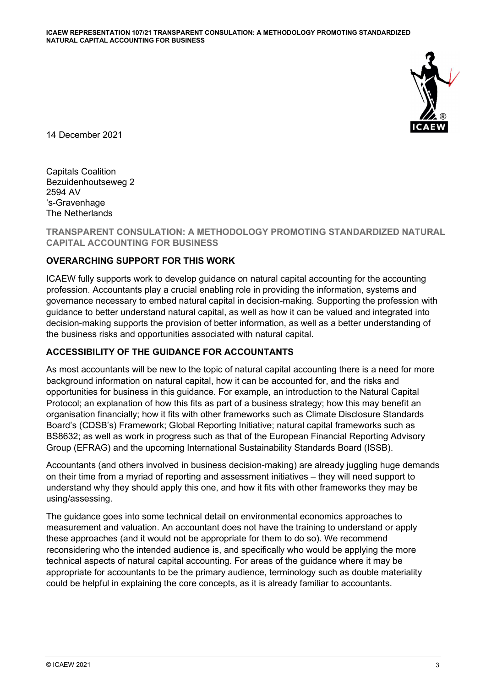

14 December 2021

Capitals Coalition Bezuidenhoutseweg 2 2594 AV 's-Gravenhage The Netherlands

TRANSPARENT CONSULATION: A METHODOLOGY PROMOTING STANDARDIZED NATURAL CAPITAL ACCOUNTING FOR BUSINESS

## OVERARCHING SUPPORT FOR THIS WORK

ICAEW fully supports work to develop guidance on natural capital accounting for the accounting profession. Accountants play a crucial enabling role in providing the information, systems and governance necessary to embed natural capital in decision-making. Supporting the profession with guidance to better understand natural capital, as well as how it can be valued and integrated into decision-making supports the provision of better information, as well as a better understanding of the business risks and opportunities associated with natural capital.

## ACCESSIBILITY OF THE GUIDANCE FOR ACCOUNTANTS

As most accountants will be new to the topic of natural capital accounting there is a need for more background information on natural capital, how it can be accounted for, and the risks and opportunities for business in this guidance. For example, an introduction to the Natural Capital Protocol; an explanation of how this fits as part of a business strategy; how this may benefit an organisation financially; how it fits with other frameworks such as Climate Disclosure Standards Board's (CDSB's) Framework; Global Reporting Initiative; natural capital frameworks such as BS8632; as well as work in progress such as that of the European Financial Reporting Advisory Group (EFRAG) and the upcoming International Sustainability Standards Board (ISSB).

Accountants (and others involved in business decision-making) are already juggling huge demands on their time from a myriad of reporting and assessment initiatives – they will need support to understand why they should apply this one, and how it fits with other frameworks they may be using/assessing.

The guidance goes into some technical detail on environmental economics approaches to measurement and valuation. An accountant does not have the training to understand or apply these approaches (and it would not be appropriate for them to do so). We recommend reconsidering who the intended audience is, and specifically who would be applying the more technical aspects of natural capital accounting. For areas of the guidance where it may be appropriate for accountants to be the primary audience, terminology such as double materiality could be helpful in explaining the core concepts, as it is already familiar to accountants.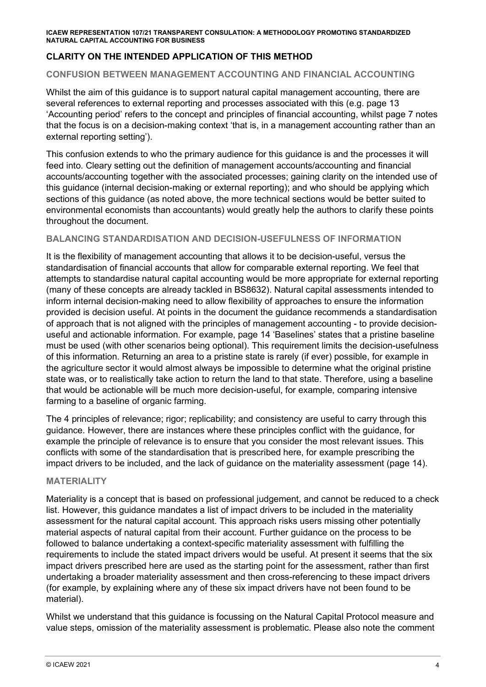#### ICAEW REPRESENTATION 107/21 TRANSPARENT CONSULATION: A METHODOLOGY PROMOTING STANDARDIZED NATURAL CAPITAL ACCOUNTING FOR BUSINESS

# CLARITY ON THE INTENDED APPLICATION OF THIS METHOD

#### CONFUSION BETWEEN MANAGEMENT ACCOUNTING AND FINANCIAL ACCOUNTING

Whilst the aim of this guidance is to support natural capital management accounting, there are several references to external reporting and processes associated with this (e.g. page 13 'Accounting period' refers to the concept and principles of financial accounting, whilst page 7 notes that the focus is on a decision-making context 'that is, in a management accounting rather than an external reporting setting').

This confusion extends to who the primary audience for this guidance is and the processes it will feed into. Cleary setting out the definition of management accounts/accounting and financial accounts/accounting together with the associated processes; gaining clarity on the intended use of this guidance (internal decision-making or external reporting); and who should be applying which sections of this guidance (as noted above, the more technical sections would be better suited to environmental economists than accountants) would greatly help the authors to clarify these points throughout the document.

## BALANCING STANDARDISATION AND DECISION-USEFULNESS OF INFORMATION

It is the flexibility of management accounting that allows it to be decision-useful, versus the standardisation of financial accounts that allow for comparable external reporting. We feel that attempts to standardise natural capital accounting would be more appropriate for external reporting (many of these concepts are already tackled in BS8632). Natural capital assessments intended to inform internal decision-making need to allow flexibility of approaches to ensure the information provided is decision useful. At points in the document the guidance recommends a standardisation of approach that is not aligned with the principles of management accounting - to provide decisionuseful and actionable information. For example, page 14 'Baselines' states that a pristine baseline must be used (with other scenarios being optional). This requirement limits the decision-usefulness of this information. Returning an area to a pristine state is rarely (if ever) possible, for example in the agriculture sector it would almost always be impossible to determine what the original pristine state was, or to realistically take action to return the land to that state. Therefore, using a baseline that would be actionable will be much more decision-useful, for example, comparing intensive farming to a baseline of organic farming.

The 4 principles of relevance; rigor; replicability; and consistency are useful to carry through this guidance. However, there are instances where these principles conflict with the guidance, for example the principle of relevance is to ensure that you consider the most relevant issues. This conflicts with some of the standardisation that is prescribed here, for example prescribing the impact drivers to be included, and the lack of guidance on the materiality assessment (page 14).

#### MATERIALITY

Materiality is a concept that is based on professional judgement, and cannot be reduced to a check list. However, this guidance mandates a list of impact drivers to be included in the materiality assessment for the natural capital account. This approach risks users missing other potentially material aspects of natural capital from their account. Further guidance on the process to be followed to balance undertaking a context-specific materiality assessment with fulfilling the requirements to include the stated impact drivers would be useful. At present it seems that the six impact drivers prescribed here are used as the starting point for the assessment, rather than first undertaking a broader materiality assessment and then cross-referencing to these impact drivers (for example, by explaining where any of these six impact drivers have not been found to be material).

Whilst we understand that this guidance is focussing on the Natural Capital Protocol measure and value steps, omission of the materiality assessment is problematic. Please also note the comment